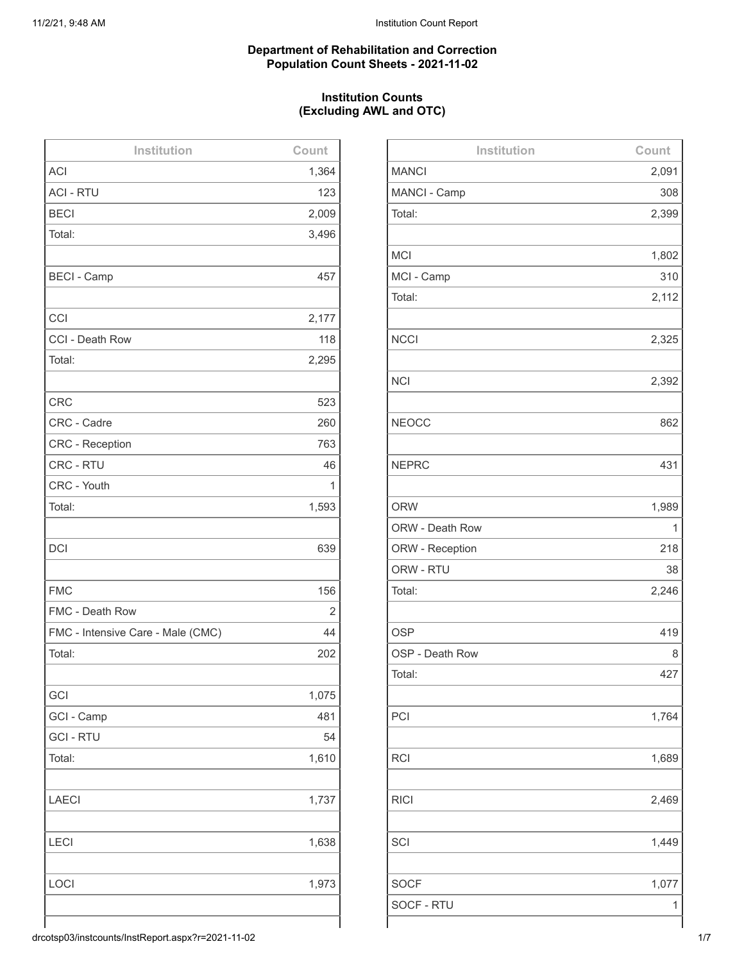#### **Department of Rehabilitation and Correction Population Count Sheets - 2021-11-02**

# **Institution Counts (Excluding AWL and OTC)**

| Institution                       | Count |
|-----------------------------------|-------|
| <b>ACI</b>                        | 1,364 |
| <b>ACI - RTU</b>                  | 123   |
| <b>BECI</b>                       | 2,009 |
| Total:                            | 3,496 |
|                                   |       |
| <b>BECI - Camp</b>                | 457   |
|                                   |       |
| CCI                               | 2,177 |
| CCI - Death Row                   | 118   |
| Total:                            | 2,295 |
|                                   |       |
| <b>CRC</b>                        | 523   |
| CRC - Cadre                       | 260   |
| <b>CRC - Reception</b>            | 763   |
| CRC - RTU                         | 46    |
| CRC - Youth                       | 1     |
| Total:                            | 1,593 |
|                                   |       |
| <b>DCI</b>                        | 639   |
|                                   |       |
| <b>FMC</b>                        | 156   |
| FMC - Death Row                   | 2     |
| FMC - Intensive Care - Male (CMC) | 44    |
| Total:                            | 202   |
|                                   |       |
| GCI                               | 1,075 |
| GCI - Camp                        | 481   |
| <b>GCI - RTU</b>                  | 54    |
| Total:                            | 1,610 |
|                                   |       |
| <b>LAECI</b>                      | 1,737 |
|                                   |       |
| LECI                              | 1,638 |
|                                   |       |
| LOCI                              | 1,973 |
|                                   |       |
|                                   |       |

| Institution     | Count |
|-----------------|-------|
| <b>MANCI</b>    | 2,091 |
| MANCI - Camp    | 308   |
| Total:          | 2,399 |
|                 |       |
| <b>MCI</b>      | 1,802 |
| MCI - Camp      | 310   |
| Total:          | 2,112 |
|                 |       |
| <b>NCCI</b>     | 2,325 |
|                 |       |
| <b>NCI</b>      | 2,392 |
|                 |       |
| <b>NEOCC</b>    | 862   |
|                 |       |
| <b>NEPRC</b>    | 431   |
|                 |       |
| <b>ORW</b>      | 1,989 |
| ORW - Death Row | 1     |
| ORW - Reception | 218   |
| ORW - RTU       | 38    |
| Total:          | 2,246 |
|                 |       |
| <b>OSP</b>      | 419   |
| OSP - Death Row | 8     |
| Total:          | 427   |
|                 |       |
| PCI             | 1,764 |
|                 |       |
| <b>RCI</b>      | 1,689 |
|                 |       |
| <b>RICI</b>     | 2,469 |
|                 |       |
| SCI             | 1,449 |
|                 |       |
| <b>SOCF</b>     | 1,077 |
| SOCF - RTU      | 1     |
|                 |       |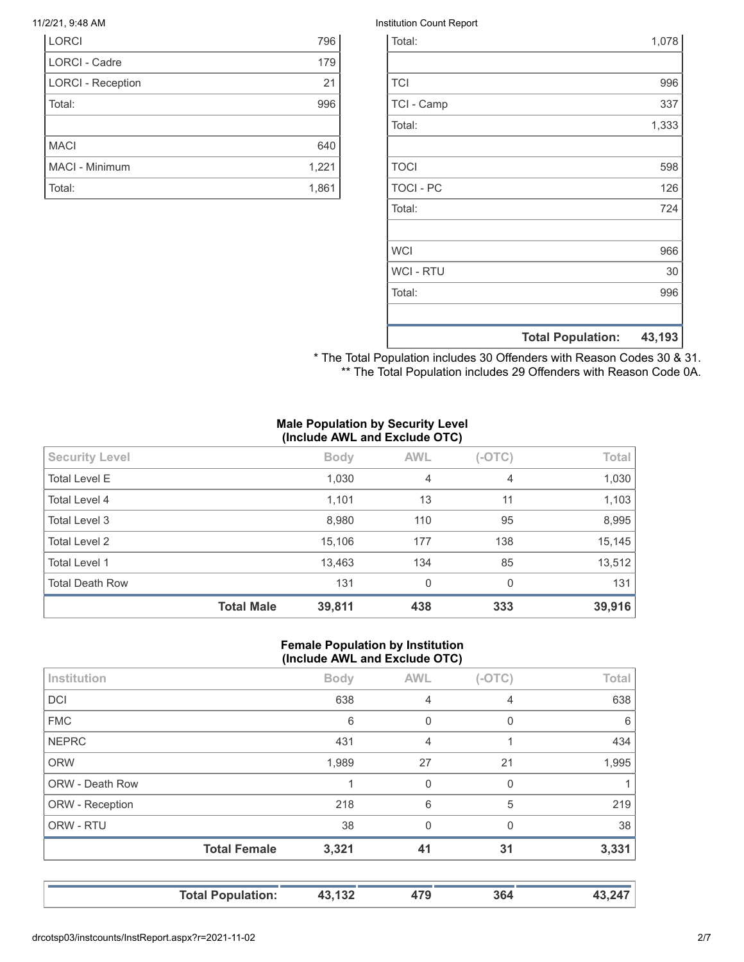| <b>LORCI</b>             | 796   |
|--------------------------|-------|
| <b>LORCI - Cadre</b>     | 179   |
| <b>LORCI - Reception</b> | 21    |
| Total:                   | 996   |
|                          |       |
| <b>MACI</b>              | 640   |
| <b>MACI - Minimum</b>    | 1,221 |
| Total:                   | 1,861 |

#### 11/2/21, 9:48 AM Institution Count Report

| Total:           |                          | 1,078  |
|------------------|--------------------------|--------|
|                  |                          |        |
| <b>TCI</b>       |                          | 996    |
| TCI - Camp       |                          | 337    |
| Total:           |                          | 1,333  |
|                  |                          |        |
| <b>TOCI</b>      |                          | 598    |
| <b>TOCI - PC</b> |                          | 126    |
| Total:           |                          | 724    |
|                  |                          |        |
| <b>WCI</b>       |                          | 966    |
| <b>WCI - RTU</b> |                          | 30     |
| Total:           |                          | 996    |
|                  |                          |        |
|                  | <b>Total Population:</b> | 43,193 |

\* The Total Population includes 30 Offenders with Reason Codes 30 & 31. \*\* The Total Population includes 29 Offenders with Reason Code 0A.

#### **Male Population by Security Level (Include AWL and Exclude OTC)**

| <b>Security Level</b>  |                   | <b>Body</b> | <b>AWL</b>   | $(-OTC)$       | Total  |
|------------------------|-------------------|-------------|--------------|----------------|--------|
| <b>Total Level E</b>   |                   | 1,030       | 4            | $\overline{4}$ | 1,030  |
| Total Level 4          |                   | 1,101       | 13           | 11             | 1,103  |
| Total Level 3          |                   | 8,980       | 110          | 95             | 8,995  |
| <b>Total Level 2</b>   |                   | 15,106      | 177          | 138            | 15,145 |
| <b>Total Level 1</b>   |                   | 13,463      | 134          | 85             | 13,512 |
| <b>Total Death Row</b> |                   | 131         | $\mathbf{0}$ | $\Omega$       | 131    |
|                        | <b>Total Male</b> | 39,811      | 438          | 333            | 39,916 |

#### **Female Population by Institution (Include AWL and Exclude OTC)**

| 38<br>3,321 | $\Omega$<br>41 | 0<br>31  | 3,331        |
|-------------|----------------|----------|--------------|
|             |                |          |              |
|             |                |          | 38           |
| 218         | 6              | 5        | 219          |
|             | 0              | 0        |              |
| 1,989       | 27             | 21       | 1,995        |
| 431         | 4              |          | 434          |
| 6           | 0              | 0        | 6            |
| 638         | $\overline{4}$ | 4        | 638          |
| <b>Body</b> | <b>AWL</b>     | $(-OTC)$ | <b>Total</b> |
|             |                |          |              |

**Total Population: 43,132 479 364 43,247**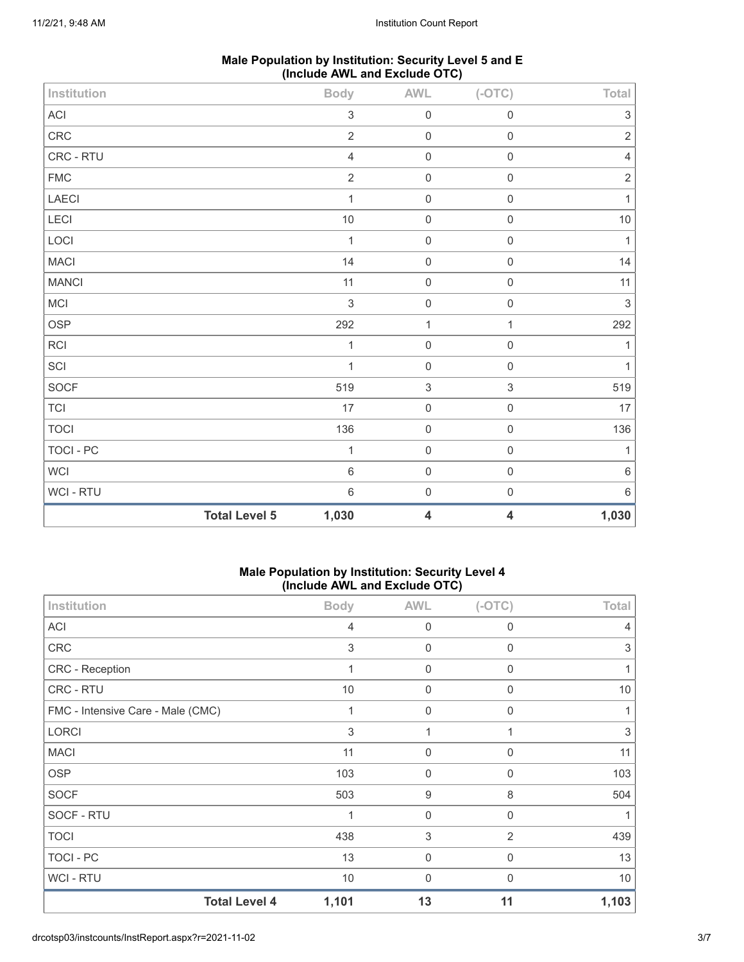| Male Population by Institution: Security Level 5 and E |
|--------------------------------------------------------|
| (Include AWL and Exclude OTC)                          |

| Institution  |                      | <b>Body</b>               | <b>AWL</b>                | $(-OTC)$                  | Total                     |
|--------------|----------------------|---------------------------|---------------------------|---------------------------|---------------------------|
| ACI          |                      | $\ensuremath{\mathsf{3}}$ | $\mathbf 0$               | $\mathbf 0$               | $\ensuremath{\mathsf{3}}$ |
| CRC          |                      | $\overline{2}$            | $\pmb{0}$                 | $\mathsf 0$               | $\overline{2}$            |
| CRC - RTU    |                      | $\sqrt{4}$                | $\mathbf 0$               | $\mathbf 0$               | $\overline{4}$            |
| ${\sf FMC}$  |                      | $\sqrt{2}$                | $\mathbf 0$               | $\,0\,$                   | $\sqrt{2}$                |
| LAECI        |                      | $\mathbf{1}$              | $\mathbf 0$               | $\mathsf{O}\xspace$       | $\mathbf{1}$              |
| LECI         |                      | $10$                      | $\pmb{0}$                 | $\mathbf 0$               | $10\,$                    |
| LOCI         |                      | $\mathbf{1}$              | $\mathbf 0$               | $\mathsf 0$               | $\mathbf{1}$              |
| <b>MACI</b>  |                      | 14                        | $\mathbf 0$               | $\mathbf 0$               | 14                        |
| <b>MANCI</b> |                      | 11                        | $\mathbf 0$               | $\mathsf 0$               | 11                        |
| MCI          |                      | $\mathfrak{S}$            | $\boldsymbol{0}$          | $\mathbf 0$               | $\mathfrak{S}$            |
| OSP          |                      | 292                       | $\mathbf{1}$              | $\mathbf{1}$              | 292                       |
| RCI          |                      | $\mathbf{1}$              | $\mathbf 0$               | $\mathbf 0$               | $\mathbf{1}$              |
| SCI          |                      | $\mathbf{1}$              | $\mathbf 0$               | $\mathsf 0$               | $\mathbf{1}$              |
| SOCF         |                      | 519                       | $\ensuremath{\mathsf{3}}$ | $\ensuremath{\mathsf{3}}$ | 519                       |
| TCI          |                      | 17                        | $\mathbf 0$               | $\mathsf 0$               | 17                        |
| <b>TOCI</b>  |                      | 136                       | $\mathbf 0$               | $\,0\,$                   | 136                       |
| TOCI - PC    |                      | $\mathbf{1}$              | $\mathbf 0$               | $\mathbf 0$               | $\mathbf{1}$              |
| WCI          |                      | $\,6\,$                   | $\pmb{0}$                 | $\,0\,$                   | $\,6\,$                   |
| WCI - RTU    |                      | $\,6\,$                   | $\mathbf 0$               | $\mathsf 0$               | $\,6\,$                   |
|              | <b>Total Level 5</b> | 1,030                     | 4                         | 4                         | 1,030                     |

# **Male Population by Institution: Security Level 4 (Include AWL and Exclude OTC)**

| Institution                       | <b>Body</b> | <b>AWL</b>       | $(-OTC)$    | Total |
|-----------------------------------|-------------|------------------|-------------|-------|
| <b>ACI</b>                        | 4           | 0                | 0           | 4     |
| <b>CRC</b>                        | 3           | 0                | 0           | 3     |
| CRC - Reception                   | 1           | $\mathbf 0$      | 0           |       |
| CRC - RTU                         | 10          | $\boldsymbol{0}$ | 0           | 10    |
| FMC - Intensive Care - Male (CMC) | 1           | $\mathbf 0$      | $\mathbf 0$ |       |
| <b>LORCI</b>                      | 3           | 1                |             | 3     |
| <b>MACI</b>                       | 11          | $\mathbf 0$      | 0           | 11    |
| <b>OSP</b>                        | 103         | 0                | $\Omega$    | 103   |
| <b>SOCF</b>                       | 503         | 9                | 8           | 504   |
| SOCF - RTU                        | 1           | $\mathbf 0$      | $\mathbf 0$ |       |
| <b>TOCI</b>                       | 438         | 3                | 2           | 439   |
| <b>TOCI - PC</b>                  | 13          | $\mathbf 0$      | 0           | 13    |
| <b>WCI-RTU</b>                    | 10          | 0                | 0           | 10    |
| <b>Total Level 4</b>              | 1,101       | 13               | 11          | 1,103 |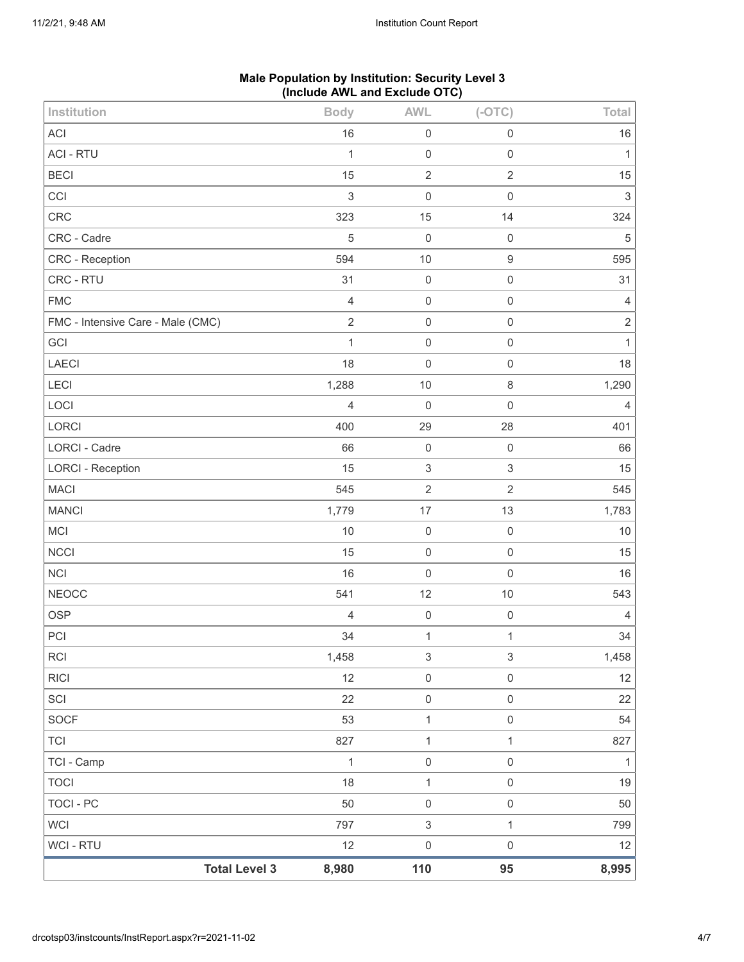|                                   |                | $($ nolddo $A$ i e dha Exolddo $O(1)$ |                           |                |
|-----------------------------------|----------------|---------------------------------------|---------------------------|----------------|
| Institution                       | <b>Body</b>    | <b>AWL</b>                            | $(-OTC)$                  | Total          |
| <b>ACI</b>                        | 16             | $\boldsymbol{0}$                      | $\mathbf 0$               | 16             |
| <b>ACI - RTU</b>                  | $\mathbf{1}$   | $\mathbf 0$                           | $\mathsf 0$               | $\mathbf{1}$   |
| <b>BECI</b>                       | 15             | $\sqrt{2}$                            | $\sqrt{2}$                | 15             |
| CCI                               | $\sqrt{3}$     | $\mathbf 0$                           | $\mathsf{O}\xspace$       | $\mathsf 3$    |
| CRC                               | 323            | 15                                    | 14                        | 324            |
| CRC - Cadre                       | 5              | $\mathbf 0$                           | $\mathbf 0$               | $\sqrt{5}$     |
| CRC - Reception                   | 594            | $10$                                  | $\boldsymbol{9}$          | 595            |
| CRC - RTU                         | 31             | $\boldsymbol{0}$                      | $\mathsf{O}\xspace$       | 31             |
| <b>FMC</b>                        | $\overline{4}$ | $\mathsf{O}\xspace$                   | $\mathbf 0$               | $\overline{4}$ |
| FMC - Intensive Care - Male (CMC) | $\sqrt{2}$     | $\boldsymbol{0}$                      | $\mathbf 0$               | $\sqrt{2}$     |
| GCI                               | $\mathbf{1}$   | $\mathbf 0$                           | $\mathbf 0$               | $\mathbf{1}$   |
| LAECI                             | 18             | $\mathbf 0$                           | $\mathsf{O}\xspace$       | 18             |
| LECI                              | 1,288          | 10                                    | $\,8\,$                   | 1,290          |
| LOCI                              | $\overline{4}$ | $\mathbf 0$                           | $\mathbf 0$               | $\overline{4}$ |
| LORCI                             | 400            | 29                                    | 28                        | 401            |
| <b>LORCI - Cadre</b>              | 66             | $\mathsf{O}\xspace$                   | $\mathbf 0$               | 66             |
| <b>LORCI - Reception</b>          | 15             | $\ensuremath{\mathsf{3}}$             | $\ensuremath{\mathsf{3}}$ | 15             |
| <b>MACI</b>                       | 545            | $\sqrt{2}$                            | $\sqrt{2}$                | 545            |
| <b>MANCI</b>                      | 1,779          | 17                                    | 13                        | 1,783          |
| MCI                               | 10             | $\mathsf{O}\xspace$                   | $\mathbf 0$               | $10$           |
| <b>NCCI</b>                       | 15             | $\mathbf 0$                           | $\mathbf 0$               | 15             |
| <b>NCI</b>                        | 16             | $\mathbf 0$                           | $\mathbf 0$               | 16             |
| <b>NEOCC</b>                      | 541            | 12                                    | $10$                      | 543            |
| <b>OSP</b>                        | 4              | $\boldsymbol{0}$                      | $\mathbf 0$               | $\overline{4}$ |
| PCI                               | 34             | $\mathbf{1}$                          | $\mathbf{1}$              | 34             |
| RCI                               | 1,458          | $\ensuremath{\mathsf{3}}$             | $\mathbf{3}$              | 1,458          |
| <b>RICI</b>                       | 12             | $\mathsf{O}\xspace$                   | $\mathsf{O}\xspace$       | 12             |
| SCI                               | 22             | $\mathsf 0$                           | $\mathsf{O}\xspace$       | 22             |
| SOCF                              | 53             | $\mathbf{1}$                          | $\mathsf 0$               | 54             |
| <b>TCI</b>                        | 827            | $\mathbf{1}$                          | $\mathbf{1}$              | 827            |
| TCI - Camp                        | $\mathbf{1}$   | $\mathsf{O}\xspace$                   | $\mathsf{O}\xspace$       | $\mathbf{1}$   |
| <b>TOCI</b>                       | 18             | $\mathbf{1}$                          | $\,0\,$                   | $19$           |
| <b>TOCI - PC</b>                  | 50             | $\mathsf{O}\xspace$                   | $\,0\,$                   | 50             |
| <b>WCI</b>                        | 797            | $\ensuremath{\mathsf{3}}$             | $\mathbf{1}$              | 799            |
| WCI - RTU                         | 12             | $\mathsf 0$                           | $\mathsf{O}\xspace$       | 12             |
| <b>Total Level 3</b>              | 8,980          | 110                                   | 95                        | 8,995          |

# **Male Population by Institution: Security Level 3 (Include AWL and Exclude OTC)**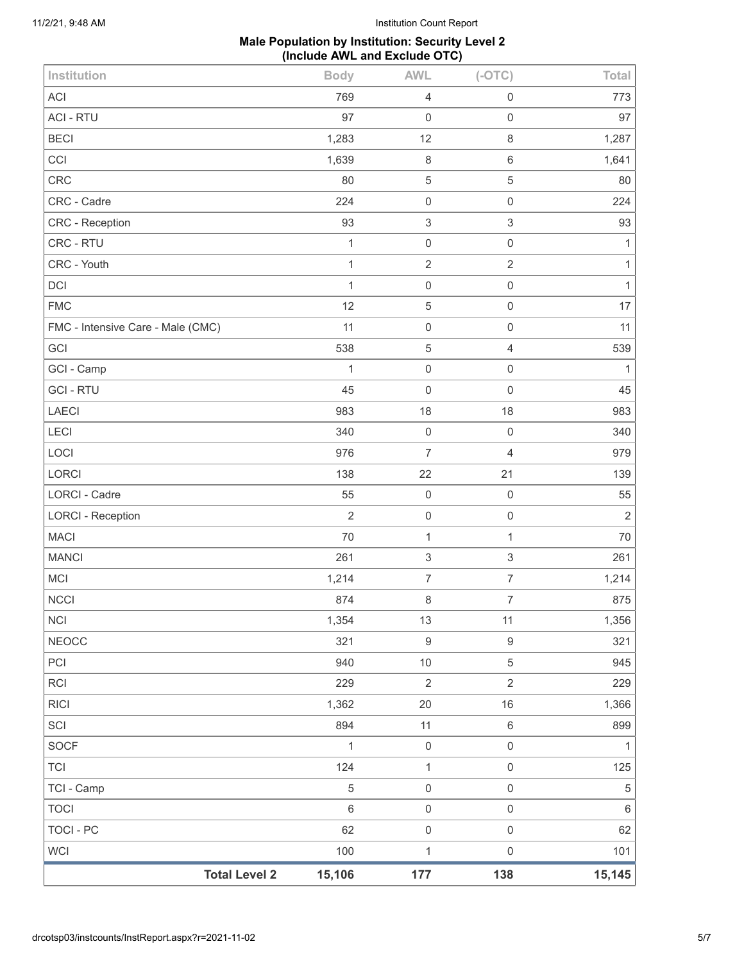# **Male Population by Institution: Security Level 2 (Include AWL and Exclude OTC)**

| Institution                       | <b>Body</b>    | <b>AWL</b>                | $(-OTC)$            | Total          |
|-----------------------------------|----------------|---------------------------|---------------------|----------------|
| ACI                               | 769            | $\overline{4}$            | $\mathbf 0$         | 773            |
| <b>ACI - RTU</b>                  | 97             | $\mathbf 0$               | $\mathsf{O}\xspace$ | 97             |
| <b>BECI</b>                       | 1,283          | 12                        | $\,8\,$             | 1,287          |
| CCI                               | 1,639          | 8                         | 6                   | 1,641          |
| <b>CRC</b>                        | 80             | $\,$ 5 $\,$               | 5                   | 80             |
| CRC - Cadre                       | 224            | $\mathbf 0$               | $\mathbf 0$         | 224            |
| CRC - Reception                   | 93             | $\sqrt{3}$                | 3                   | 93             |
| CRC - RTU                         | $\mathbf{1}$   | $\mathbf 0$               | $\mathbf 0$         | 1              |
| CRC - Youth                       | $\mathbf 1$    | $\sqrt{2}$                | $\sqrt{2}$          | $\mathbf{1}$   |
| <b>DCI</b>                        | $\mathbf{1}$   | $\mathbf 0$               | $\mathbf 0$         | $\mathbf{1}$   |
| <b>FMC</b>                        | 12             | $\sqrt{5}$                | $\mathsf{O}\xspace$ | 17             |
| FMC - Intensive Care - Male (CMC) | 11             | $\mathbf 0$               | $\mathbf 0$         | 11             |
| GCI                               | 538            | $\sqrt{5}$                | 4                   | 539            |
| GCI - Camp                        | 1              | $\mathbf 0$               | $\mathbf 0$         | 1              |
| <b>GCI - RTU</b>                  | 45             | $\mathbf 0$               | $\mathbf 0$         | 45             |
| <b>LAECI</b>                      | 983            | 18                        | 18                  | 983            |
| <b>LECI</b>                       | 340            | $\,0\,$                   | $\,0\,$             | 340            |
| LOCI                              | 976            | $\overline{7}$            | $\overline{4}$      | 979            |
| LORCI                             | 138            | 22                        | 21                  | 139            |
| <b>LORCI - Cadre</b>              | 55             | $\mathbf 0$               | $\mathbf 0$         | 55             |
| <b>LORCI - Reception</b>          | $\overline{2}$ | $\mathbf 0$               | $\mathbf 0$         | $\overline{2}$ |
| <b>MACI</b>                       | 70             | $\mathbf{1}$              | $\mathbf{1}$        | 70             |
| <b>MANCI</b>                      | 261            | $\ensuremath{\mathsf{3}}$ | 3                   | 261            |
| MCI                               | 1,214          | $\boldsymbol{7}$          | $\boldsymbol{7}$    | 1,214          |
| <b>NCCI</b>                       | 874            | $\,8\,$                   | $\boldsymbol{7}$    | 875            |
| <b>NCI</b>                        | 1,354          | 13                        | 11                  | 1,356          |
| <b>NEOCC</b>                      | 321            | $\boldsymbol{9}$          | $\boldsymbol{9}$    | 321            |
| PCI                               | 940            | 10                        | 5                   | 945            |
| <b>RCI</b>                        | 229            | $\overline{2}$            | $\overline{2}$      | 229            |
| <b>RICI</b>                       | 1,362          | 20                        | 16                  | 1,366          |
| SCI                               | 894            | 11                        | 6                   | 899            |
| <b>SOCF</b>                       | $\mathbf{1}$   | $\mathbf 0$               | $\mathbf 0$         | 1              |
| <b>TCI</b>                        | 124            | $\mathbf{1}$              | $\mathsf{O}\xspace$ | 125            |
| TCI - Camp                        | $\overline{5}$ | $\mathbf 0$               | $\mathsf{O}\xspace$ | $\sqrt{5}$     |
| <b>TOCI</b>                       | $\,6\,$        | $\mathbf 0$               | $\mathsf{O}\xspace$ | $\,6\,$        |
| <b>TOCI - PC</b>                  | 62             | $\mathbf 0$               | $\mathbf 0$         | 62             |
| <b>WCI</b>                        | 100            | $\mathbf 1$               | $\mathsf{O}\xspace$ | 101            |
| <b>Total Level 2</b>              | 15,106         | 177                       | 138                 | 15,145         |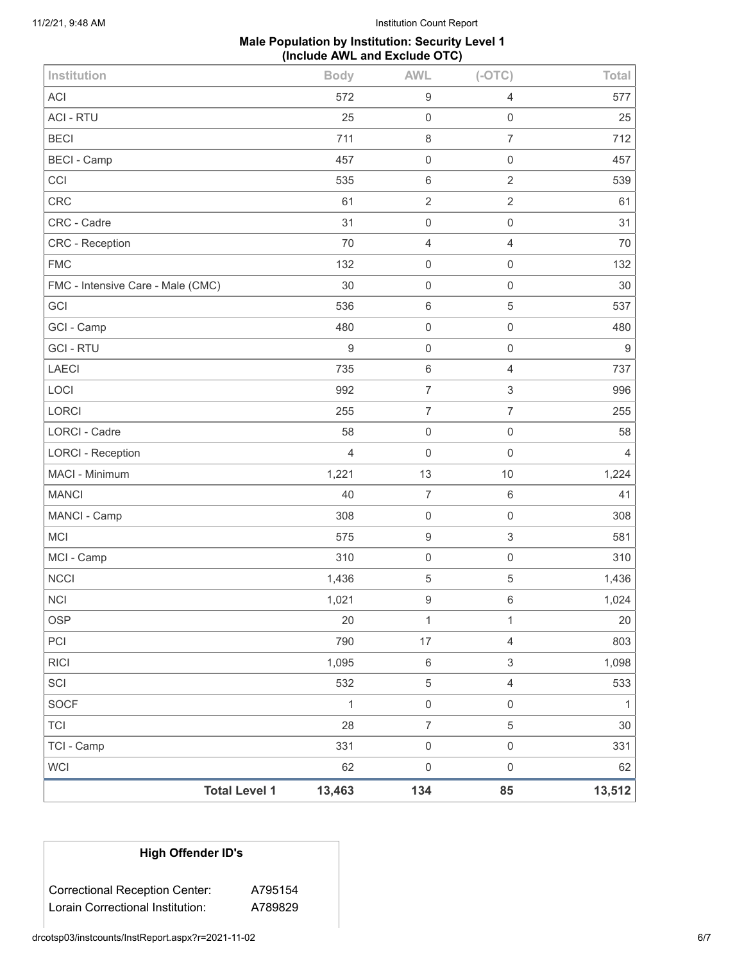11/2/21, 9:48 AM Institution Count Report

# **Male Population by Institution: Security Level 1 (Include AWL and Exclude OTC)**

| Institution                       | <b>Body</b> | <b>AWL</b>          | $(-OTC)$                  | Total  |
|-----------------------------------|-------------|---------------------|---------------------------|--------|
| <b>ACI</b>                        | 572         | $\boldsymbol{9}$    | 4                         | 577    |
| <b>ACI - RTU</b>                  | 25          | $\mathsf 0$         | $\mathsf{O}\xspace$       | 25     |
| <b>BECI</b>                       | 711         | $\,8\,$             | $\overline{7}$            | 712    |
| <b>BECI - Camp</b>                | 457         | $\mathbf 0$         | $\mathsf{O}\xspace$       | 457    |
| CCI                               | 535         | $6\,$               | $\sqrt{2}$                | 539    |
| <b>CRC</b>                        | 61          | $\overline{2}$      | $\sqrt{2}$                | 61     |
| CRC - Cadre                       | 31          | $\mathbf 0$         | $\mathsf{O}\xspace$       | 31     |
| CRC - Reception                   | 70          | $\overline{4}$      | $\overline{4}$            | 70     |
| <b>FMC</b>                        | 132         | $\mathbf 0$         | 0                         | 132    |
| FMC - Intensive Care - Male (CMC) | 30          | $\mathbf 0$         | $\mathsf{O}\xspace$       | 30     |
| GCI                               | 536         | $\,6\,$             | $\mathbf 5$               | 537    |
| GCI - Camp                        | 480         | $\mathbf 0$         | $\mathsf{O}\xspace$       | 480    |
| <b>GCI-RTU</b>                    | $\mathsf g$ | $\mathbf 0$         | 0                         | $9\,$  |
| <b>LAECI</b>                      | 735         | $\,6\,$             | 4                         | 737    |
| LOCI                              | 992         | $\overline{7}$      | $\ensuremath{\mathsf{3}}$ | 996    |
| LORCI                             | 255         | $\boldsymbol{7}$    | $\overline{7}$            | 255    |
| <b>LORCI - Cadre</b>              | 58          | $\mathbf 0$         | $\mathsf{O}\xspace$       | 58     |
| <b>LORCI - Reception</b>          | 4           | $\mathbf 0$         | $\mathbf 0$               | 4      |
| MACI - Minimum                    | 1,221       | 13                  | 10                        | 1,224  |
| <b>MANCI</b>                      | 40          | $\overline{7}$      | 6                         | 41     |
| MANCI - Camp                      | 308         | $\mathbf 0$         | $\mathsf{O}\xspace$       | 308    |
| <b>MCI</b>                        | 575         | $\boldsymbol{9}$    | $\ensuremath{\mathsf{3}}$ | 581    |
| MCI - Camp                        | 310         | $\mathbf 0$         | $\mathsf 0$               | 310    |
| <b>NCCI</b>                       | 1,436       | $\,$ 5 $\,$         | $\mathbf 5$               | 1,436  |
| <b>NCI</b>                        | 1,021       | $\boldsymbol{9}$    | 6                         | 1,024  |
| <b>OSP</b>                        | 20          | 1                   | 1                         | $20\,$ |
| PCI                               | 790         | 17                  | $\overline{4}$            | 803    |
| <b>RICI</b>                       | 1,095       | $\,6\,$             | $\,$ 3 $\,$               | 1,098  |
| SCI                               | 532         | $\sqrt{5}$          | $\overline{4}$            | 533    |
| SOCF                              | 1           | $\mbox{O}$          | $\mathsf{O}\xspace$       | 1      |
| <b>TCI</b>                        | 28          | $\boldsymbol{7}$    | $\,$ 5 $\,$               | 30     |
| TCI - Camp                        | 331         | $\mathsf{O}\xspace$ | $\mathsf{O}\xspace$       | 331    |
| <b>WCI</b>                        | 62          | $\mathbf 0$         | $\mathsf{O}\xspace$       | 62     |
| <b>Total Level 1</b>              | 13,463      | 134                 | 85                        | 13,512 |

# **High Offender ID's**

Correctional Reception Center: A795154 Lorain Correctional Institution: A789829